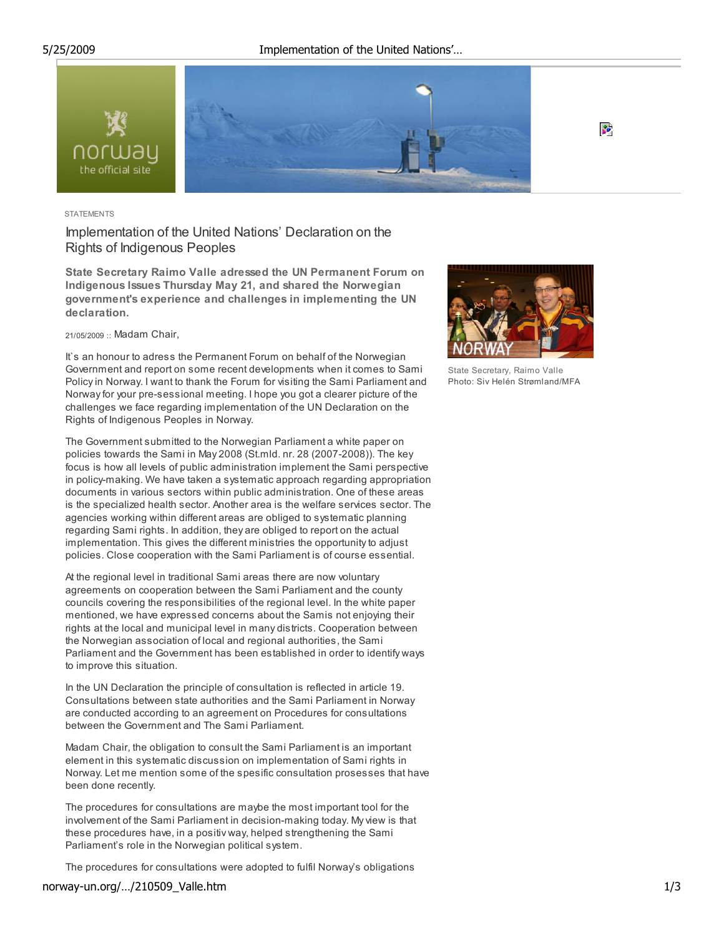

### **STATEMENTS**

# Implementation of the United Nations' Declaration on the Rights of Indigenous Peoples

State Secretary Raimo Valle adressed the UN Permanent Forum on Indigenous Issues Thursday May 21, and shared the Norwegian government's experience and challenges in implementing the UN declaration.

### 21/05/2009 :: Madam Chair,

It's an honour to adress the Permanent Forum on behalf of the Norwegian Government and report on some recent developments when it comes to Sami Policy in Norway. I want to thank the Forum for visiting the Sami Parliament and Norway for your pre-sessional meeting. I hope you got a clearer picture of the challenges we face regarding implementation of the UN Declaration on the Rights of Indigenous Peoples in Norway.

The Government submitted to the Norwegian Parliament a white paper on policies towards the Sami in May 2008 (St.mld. nr. 28 (2007-2008)). The key focus is how all levels of public administration implement the Sami perspective in policy-making. We have taken a systematic approach regarding appropriation documents in various sectors within public administration. One of these areas is the specialized health sector. Another area is the welfare services sector. The agencies working within different areas are obliged to systematic planning regarding Sami rights. In addition, they are obliged to report on the actual implementation. This gives the different ministries the opportunity to adjust policies. Close cooperation with the Sami Parliament is of course essential.

At the regional level in traditional Sami areas there are now voluntary agreements on cooperation between the Sami Parliament and the county councils covering the responsibilities of the regional level. In the white paper mentioned, we have expressed concerns about the Samis not enjoying their rights at the local and municipal level in many districts. Cooperation between the Norwegian association of local and regional authorities, the Sami Parliament and the Government has been established in order to identify ways to improve this situation.

In the UN Declaration the principle of consultation is reflected in article 19. Consultations between state authorities and the Sami Parliament in Norway are conducted according to an agreement on Procedures for consultations between the Government and The Sami Parliament.

Madam Chair, the obligation to consult the Sami Parliament is an important element in this systematic discussion on implementation of Sami rights in Norway. Let me mention some of the spesific consultation prosesses that have been done recently.

The procedures for consultations are maybe the most important tool for the involvement of the Sami Parliament in decision-making today. My view is that these procedures have, in a positiv way, helped strengthening the Sami Parliament's role in the Norwegian political system.

The procedures for consultations were adopted to fulfil Norway's obligations

### norway-un.org/…/210509\_Valle.htm 1/3



State Secretary, Raimo Valle Photo: Siv Helén Strømland/MFA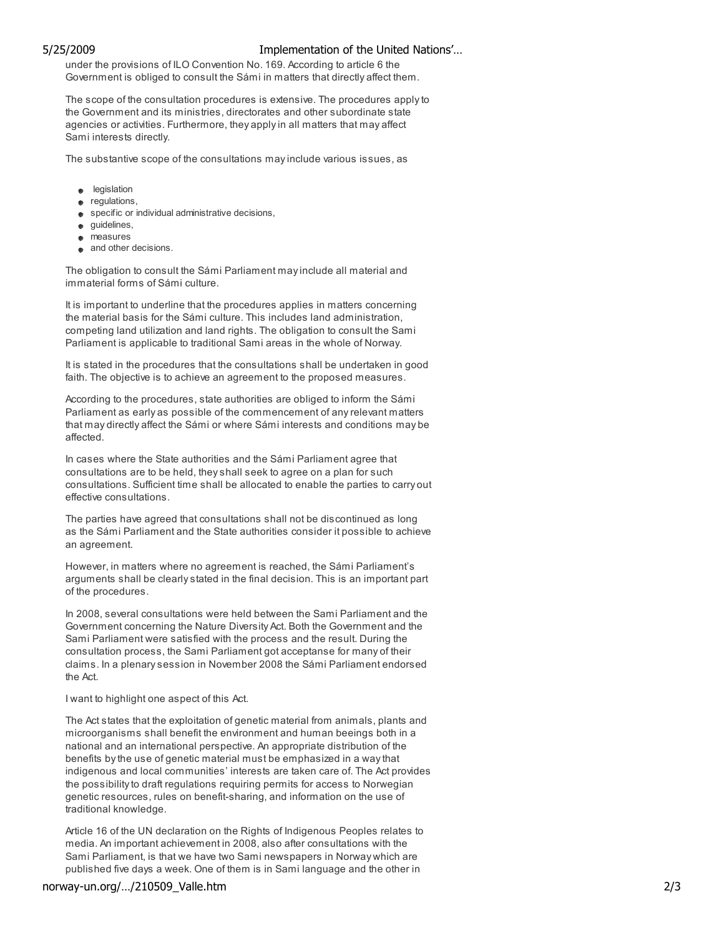## 5/25/2009 Implementation of the United Nations'…

under the provisions of ILO Convention No. 169. According to article 6 the Government is obliged to consult the Sámi in matters that directly affect them.

The scope of the consultation procedures is extensive. The procedures apply to the Government and its ministries, directorates and other subordinate state agencies or activities. Furthermore, they apply in all matters that may affect Sami interests directly.

The substantive scope of the consultations may include various issues, as

- **e** legislation
- p regulations.
- specific or individual administrative decisions,
- auidelines.
- measures
- and other decisions.

The obligation to consult the Sámi Parliament may include all material and immaterial forms of Sámi culture.

It is important to underline that the procedures applies in matters concerning the material basis for the Sámi culture. This includes land administration, competing land utilization and land rights. The obligation to consult the Sami Parliament is applicable to traditional Sami areas in the whole of Norway.

It is stated in the procedures that the consultations shall be undertaken in good faith. The objective is to achieve an agreement to the proposed measures.

According to the procedures, state authorities are obliged to inform the Sámi Parliament as early as possible of the commencement of any relevant matters that may directly affect the Sámi or where Sámi interests and conditions may be affected.

In cases where the State authorities and the Sámi Parliament agree that consultations are to be held, they shall seek to agree on a plan for such consultations. Sufficient time shall be allocated to enable the parties to carry out effective consultations.

The parties have agreed that consultations shall not be discontinued as long as the Sámi Parliament and the State authorities consider it possible to achieve an agreement.

However, in matters where no agreement is reached, the Sámi Parliament's arguments shall be clearly stated in the final decision. This is an important part of the procedures.

In 2008, several consultations were held between the Sami Parliament and the Government concerning the Nature Diversity Act. Both the Government and the Sami Parliament were satisfied with the process and the result. During the consultation process, the Sami Parliament got acceptanse for many of their claims. In a plenary session in November 2008 the Sámi Parliament endorsed the Act.

I want to highlight one aspect of this Act.

The Act states that the exploitation of genetic material from animals, plants and microorganisms shall benefit the environment and human beeings both in a national and an international perspective. An appropriate distribution of the benefits by the use of genetic material must be emphasized in a way that indigenous and local communities' interests are taken care of. The Act provides the possibility to draft regulations requiring permits for access to Norwegian genetic resources, rules on benefit-sharing, and information on the use of traditional knowledge.

Article 16 of the UN declaration on the Rights of Indigenous Peoples relates to media. An important achievement in 2008, also after consultations with the Sami Parliament, is that we have two Sami newspapers in Norway which are published five days a week. One of them is in Sami language and the other in